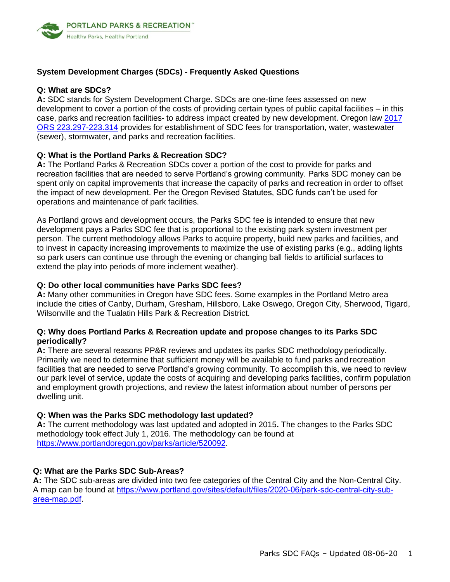

## **System Development Charges (SDCs) - Frequently Asked Questions**

#### **Q: What are SDCs?**

**A:** SDC stands for System Development Charge. SDCs are one-time fees assessed on new development to cover a portion of the costs of providing certain types of public capital facilities – in this [case, parks and recreation facilities- to address impact created by new development. Oregon law 2017](https://www.oregonlaws.org/ors/223.297) ORS 223.297-223.314 provides for establishment of SDC fees for transportation, water, wastewater (sewer), stormwater, and parks and recreation facilities.

#### **Q: What is the Portland Parks & Recreation SDC?**

**A:** The Portland Parks & Recreation SDCs cover a portion of the cost to provide for parks and recreation facilities that are needed to serve Portland's growing community. Parks SDC money can be spent only on capital improvements that increase the capacity of parks and recreation in order to offset the impact of new development. Per the Oregon Revised Statutes, SDC funds can't be used for operations and maintenance of park facilities.

As Portland grows and development occurs, the Parks SDC fee is intended to ensure that new development pays a Parks SDC fee that is proportional to the existing park system investment per person. The current methodology allows Parks to acquire property, build new parks and facilities, and to invest in capacity increasing improvements to maximize the use of existing parks (e.g., adding lights so park users can continue use through the evening or changing ball fields to artificial surfaces to extend the play into periods of more inclement weather).

#### **Q: Do other local communities have Parks SDC fees?**

**A:** Many other communities in Oregon have SDC fees. Some examples in the Portland Metro area include the cities of Canby, Durham, Gresham, Hillsboro, Lake Oswego, Oregon City, Sherwood, Tigard, Wilsonville and the Tualatin Hills Park & Recreation District.

#### **Q: Why does Portland Parks & Recreation update and propose changes to its Parks SDC periodically?**

**A:** There are several reasons PP&R reviews and updates its parks SDC methodology periodically. Primarily we need to determine that sufficient money will be available to fund parks and recreation facilities that are needed to serve Portland's growing community. To accomplish this, we need to review our park level of service, update the costs of acquiring and developing parks facilities, confirm population and employment growth projections, and review the latest information about number of persons per dwelling unit.

## **Q: When was the Parks SDC methodology last updated?**

**A:** The current methodology was last updated and adopted in 2015**.** The changes to the Parks SDC methodology took effect July 1, 2016. The methodology can be found at http[s://www.portlandoregon.gov/parks/article/520092.](http://www.portlandoregon.gov/parks/article/520092) 

## **Q: What are the Parks SDC Sub-Areas?**

**A:** The SDC sub-areas are divided into two fee categories of the Central City and the Non-Central City. A map can be found at http[s://www.portland.gov/sites/default/files/2020-06/](http://www.portlandoregon.gov/parks/article/191387)park-sdc-central-city-subarea-map.pdf.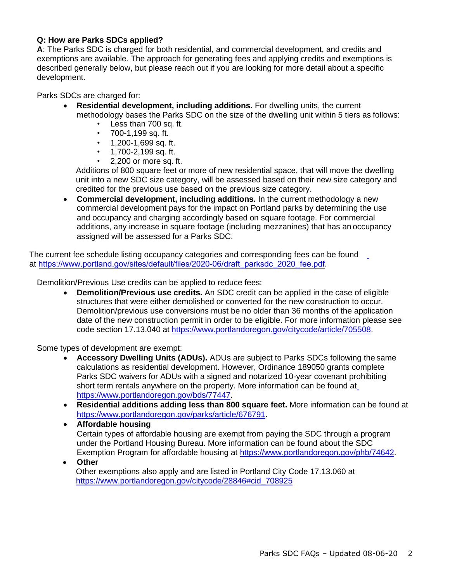# **Q: How are Parks SDCs applied?**

**A**: The Parks SDC is charged for both residential, and commercial development, and credits and exemptions are available. The approach for generating fees and applying credits and exemptions is described generally below, but please reach out if you are looking for more detail about a specific development.

Parks SDCs are charged for:

- **Residential development, including additions.** For dwelling units, the current methodology bases the Parks SDC on the size of the dwelling unit within 5 tiers as follows:
	- Less than 700 sq. ft.
	- 700-1,199 sq. ft.
	- $\cdot$  1.200-1.699 sq. ft.
	- 1,700-2,199 sq. ft.
	- 2,200 or more sq. ft.

Additions of 800 square feet or more of new residential space, that will move the dwelling unit into a new SDC size category, will be assessed based on their new size category and credited for the previous use based on the previous size category.

• **Commercial development, including additions.** In the current methodology a new commercial development pays for the impact on Portland parks by determining the use and occupancy and charging accordingly based on square footage. For commercial additions, any increase in square footage (including mezzanines) that has an occupancy assigned will be assessed for a Parks SDC.

The current fee schedule listing occupancy categories and corresponding fees can be found at https://www.portland[.gov/sites/default/files/2020-06/](http://www.portlandoregon.gov/parks/article/494388)draft\_parksdc\_2020\_fee.pdf.

Demolition/Previous Use credits can be applied to reduce fees:

• **Demolition/Previous use credits.** An SDC credit can be applied in the case of eligible structures that were either demolished or converted for the new construction to occur. Demolition/previous use conversions must be no older than 36 months of the application date of the new construction permit in order to be eligible. For more information please see code section 17.13.040 at https[://www.portlandoregon.gov/citycode/article/705508.](http://www.portlandoregon.gov/citycode/article/705508)

Some types of development are exempt:

- **Accessory Dwelling Units (ADUs).** ADUs are subject to Parks SDCs following the same calculations as residential development. However, Ordinance 189050 grants complete Parks SDC waivers for ADUs with a signed and notarized 10-year covenant prohibiting short term rentals anywhere on the property. More information can be found at https[://www.portlandoregon.gov/bds/77447.](http://www.portlandoregon.gov/bds/77447)
- **Residential additions adding less than 800 square feet.** More information can be found at [https://www.portlandoregon.gov/parks/article/676791.](https://www.portlandoregon.gov/parks/article/676791)
- **Affordable housing** Certain types of affordable housing are exempt from paying the SDC through a program under the Portland Housing Bureau. More information can be found about the SDC Exemption Program for affordable housing at https:/[/www.portlandoregon.gov/phb/74642.](http://www.portlandoregon.gov/phb/74642)
- **Other** Other exemptions also apply and are listed in Portland City Code 17.13.060 at https[://www.portlandoregon.gov/citycode/28846#cid\\_708925](http://www.portlandoregon.gov/citycode/28846#cid_708925)